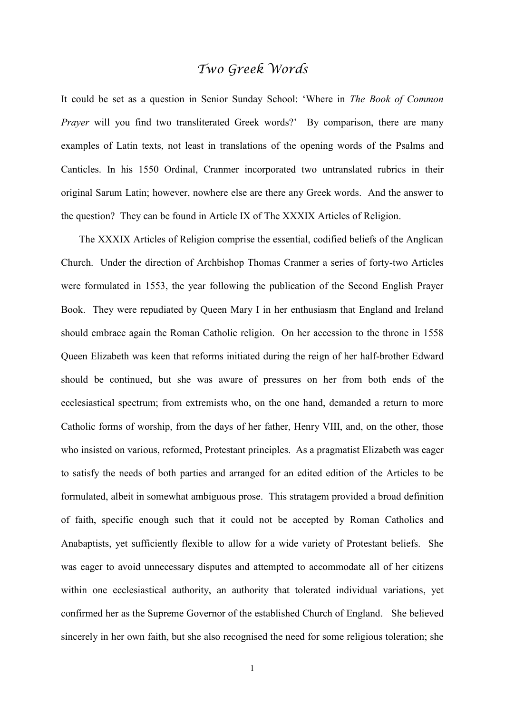## *Two Greek Words*

It could be set as a question in Senior Sunday School: 'Where in *The Book of Common Prayer* will you find two transliterated Greek words?' By comparison, there are many examples of Latin texts, not least in translations of the opening words of the Psalms and Canticles. In his 1550 Ordinal, Cranmer incorporated two untranslated rubrics in their original Sarum Latin; however, nowhere else are there any Greek words. And the answer to the question? They can be found in Article IX of The XXXIX Articles of Religion.

The XXXIX Articles of Religion comprise the essential, codified beliefs of the Anglican Church. Under the direction of Archbishop Thomas Cranmer a series of forty-two Articles were formulated in 1553, the year following the publication of the Second English Prayer Book. They were repudiated by Queen Mary I in her enthusiasm that England and Ireland should embrace again the Roman Catholic religion. On her accession to the throne in 1558 Queen Elizabeth was keen that reforms initiated during the reign of her half-brother Edward should be continued, but she was aware of pressures on her from both ends of the ecclesiastical spectrum; from extremists who, on the one hand, demanded a return to more Catholic forms of worship, from the days of her father, Henry VIII, and, on the other, those who insisted on various, reformed, Protestant principles. As a pragmatist Elizabeth was eager to satisfy the needs of both parties and arranged for an edited edition of the Articles to be formulated, albeit in somewhat ambiguous prose. This stratagem provided a broad definition of faith, specific enough such that it could not be accepted by Roman Catholics and Anabaptists, yet sufficiently flexible to allow for a wide variety of Protestant beliefs. She was eager to avoid unnecessary disputes and attempted to accommodate all of her citizens within one ecclesiastical authority, an authority that tolerated individual variations, yet confirmed her as the Supreme Governor of the established Church of England. She believed sincerely in her own faith, but she also recognised the need for some religious toleration; she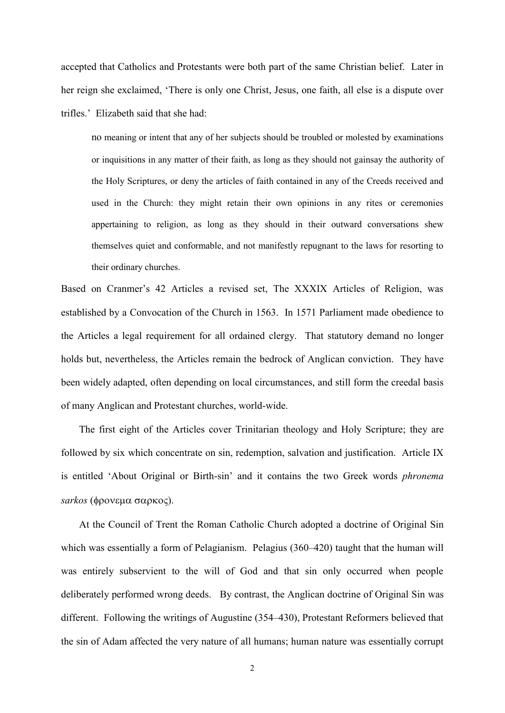accepted that Catholics and Protestants were both part of the same Christian belief. Later in her reign she exclaimed, 'There is only one Christ, Jesus, one faith, all else is a dispute over trifles.' Elizabeth said that she had:

no meaning or intent that any of her subjects should be troubled or molested by examinations or inquisitions in any matter of their faith, as long as they should not gainsay the authority of the Holy Scriptures, or deny the articles of faith contained in any of the Creeds received and used in the Church: they might retain their own opinions in any rites or ceremonies appertaining to religion, as long as they should in their outward conversations shew themselves quiet and conformable, and not manifestly repugnant to the laws for resorting to their ordinary churches.

Based on Cranmer's 42 Articles a revised set, The XXXIX Articles of Religion, was established by a Convocation of the Church in 1563. In 1571 Parliament made obedience to the Articles a legal requirement for all ordained clergy. That statutory demand no longer holds but, nevertheless, the Articles remain the bedrock of Anglican conviction. They have been widely adapted, often depending on local circumstances, and still form the creedal basis of many Anglican and Protestant churches, world-wide.

The first eight of the Articles cover Trinitarian theology and Holy Scripture; they are followed by six which concentrate on sin, redemption, salvation and justification. Article IX is entitled 'About Original or Birth-sin' and it contains the two Greek words *phronema sarkos* (φρονεμα σαρκος).

At the Council of Trent the Roman Catholic Church adopted a doctrine of Original Sin which was essentially a form of Pelagianism. Pelagius (360–420) taught that the human will was entirely subservient to the will of God and that sin only occurred when people deliberately performed wrong deeds. By contrast, the Anglican doctrine of Original Sin was different. Following the writings of Augustine (354–430), Protestant Reformers believed that the sin of Adam affected the very nature of all humans; human nature was essentially corrupt